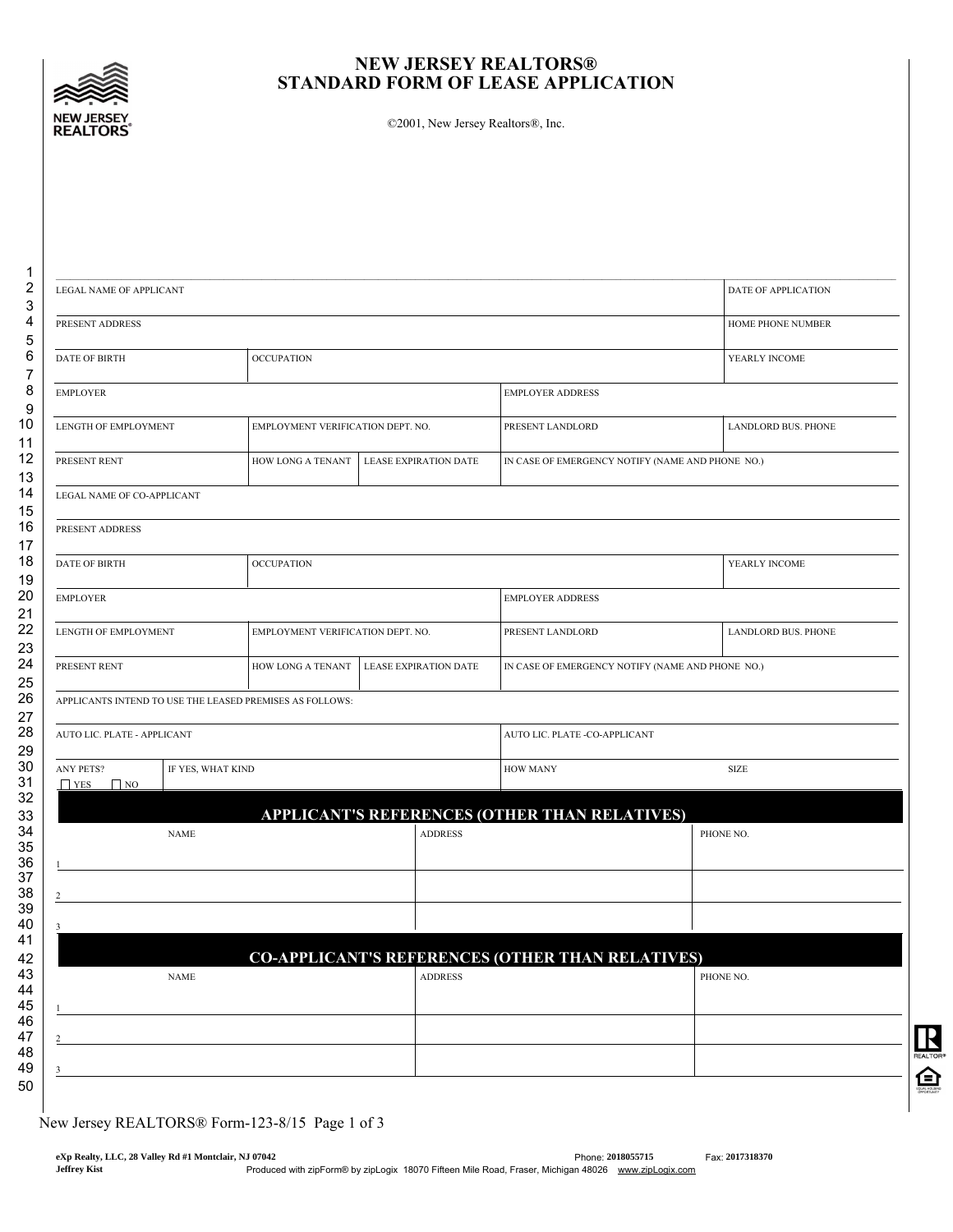

## NEW JERSEY REALTORS® STANDARD FORM OF LEASE APPLICATION

©2001, New Jersey Realtors®, Inc.

| LEGAL NAME OF APPLICANT              |                   |                                                          |                         |                                                         | DATE OF APPLICATION |
|--------------------------------------|-------------------|----------------------------------------------------------|-------------------------|---------------------------------------------------------|---------------------|
| PRESENT ADDRESS                      | HOME PHONE NUMBER |                                                          |                         |                                                         |                     |
| <b>DATE OF BIRTH</b>                 |                   | <b>OCCUPATION</b>                                        |                         |                                                         | YEARLY INCOME       |
| <b>EMPLOYER</b>                      |                   |                                                          | <b>EMPLOYER ADDRESS</b> |                                                         |                     |
| LENGTH OF EMPLOYMENT                 |                   | EMPLOYMENT VERIFICATION DEPT. NO.                        |                         | PRESENT LANDLORD                                        | LANDLORD BUS. PHONE |
| PRESENT RENT                         |                   | HOW LONG A TENANT<br><b>LEASE EXPIRATION DATE</b>        |                         | IN CASE OF EMERGENCY NOTIFY (NAME AND PHONE NO.)        |                     |
| LEGAL NAME OF CO-APPLICANT           |                   |                                                          |                         |                                                         |                     |
| PRESENT ADDRESS                      |                   |                                                          |                         |                                                         |                     |
| <b>DATE OF BIRTH</b>                 |                   | <b>OCCUPATION</b>                                        |                         |                                                         | YEARLY INCOME       |
| <b>EMPLOYER</b>                      |                   |                                                          |                         | <b>EMPLOYER ADDRESS</b>                                 |                     |
| LENGTH OF EMPLOYMENT                 |                   | EMPLOYMENT VERIFICATION DEPT. NO.                        |                         | PRESENT LANDLORD                                        | LANDLORD BUS. PHONE |
| PRESENT RENT                         |                   | HOW LONG A TENANT                                        | LEASE EXPIRATION DATE   | IN CASE OF EMERGENCY NOTIFY (NAME AND PHONE NO.)        |                     |
|                                      |                   | APPLICANTS INTEND TO USE THE LEASED PREMISES AS FOLLOWS: |                         |                                                         |                     |
| AUTO LIC. PLATE - APPLICANT          |                   |                                                          |                         | AUTO LIC. PLATE -CO-APPLICANT                           |                     |
| ANY PETS?<br>$\Box$ YES<br>$\Box$ NO | IF YES, WHAT KIND |                                                          |                         | <b>HOW MANY</b>                                         | SIZE                |
|                                      |                   |                                                          |                         | <b>APPLICANT'S REFERENCES (OTHER THAN RELATIVES)</b>    |                     |
|                                      | <b>NAME</b>       |                                                          | <b>ADDRESS</b>          |                                                         | PHONE NO.           |
|                                      |                   |                                                          |                         |                                                         |                     |
|                                      |                   |                                                          |                         |                                                         |                     |
|                                      |                   |                                                          |                         |                                                         |                     |
|                                      | <b>NAME</b>       |                                                          | <b>ADDRESS</b>          | <b>CO-APPLICANT'S REFERENCES (OTHER THAN RELATIVES)</b> | PHONE NO.           |
|                                      |                   |                                                          |                         |                                                         |                     |
|                                      |                   |                                                          |                         |                                                         |                     |
|                                      |                   |                                                          |                         |                                                         |                     |

New Jersey REALTORS® Form-123-8/15 Page 1 of 3

50

REALTOR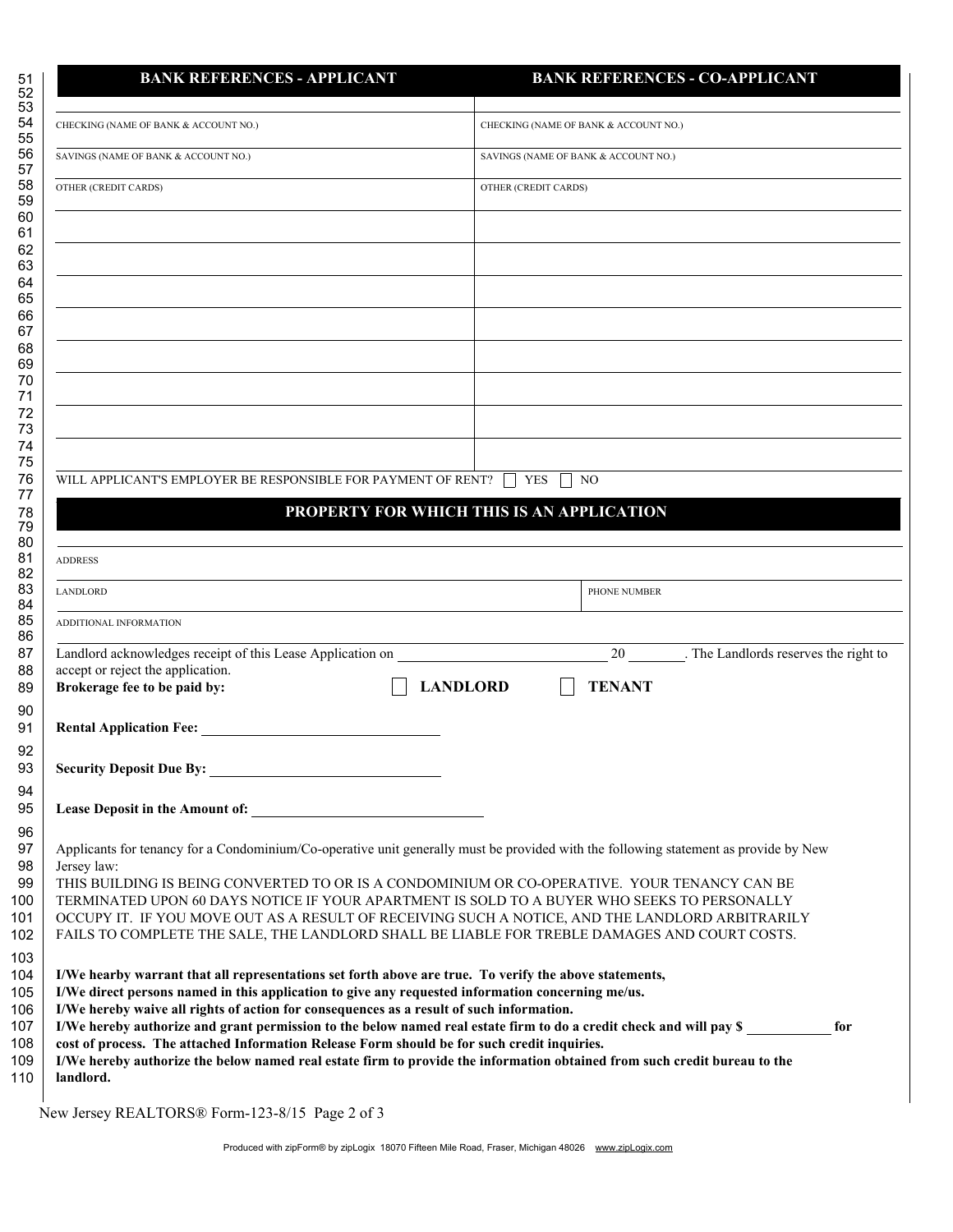| <b>BANK REFERENCES - APPLICANT</b>                                                                                                                                                                                       | <b>BANK REFERENCES - CO-APPLICANT</b>                                                                               |
|--------------------------------------------------------------------------------------------------------------------------------------------------------------------------------------------------------------------------|---------------------------------------------------------------------------------------------------------------------|
| CHECKING (NAME OF BANK & ACCOUNT NO.)                                                                                                                                                                                    | CHECKING (NAME OF BANK & ACCOUNT NO.)                                                                               |
| SAVINGS (NAME OF BANK & ACCOUNT NO.)                                                                                                                                                                                     | SAVINGS (NAME OF BANK & ACCOUNT NO.)                                                                                |
| OTHER (CREDIT CARDS)                                                                                                                                                                                                     | OTHER (CREDIT CARDS)                                                                                                |
|                                                                                                                                                                                                                          |                                                                                                                     |
|                                                                                                                                                                                                                          |                                                                                                                     |
|                                                                                                                                                                                                                          |                                                                                                                     |
|                                                                                                                                                                                                                          |                                                                                                                     |
|                                                                                                                                                                                                                          |                                                                                                                     |
|                                                                                                                                                                                                                          |                                                                                                                     |
|                                                                                                                                                                                                                          |                                                                                                                     |
| WILL APPLICANT'S EMPLOYER BE RESPONSIBLE FOR PAYMENT OF RENT? [                                                                                                                                                          | YES<br>NO.                                                                                                          |
|                                                                                                                                                                                                                          | PROPERTY FOR WHICH THIS IS AN APPLICATION                                                                           |
|                                                                                                                                                                                                                          |                                                                                                                     |
| <b>ADDRESS</b>                                                                                                                                                                                                           |                                                                                                                     |
| <b>LANDLORD</b>                                                                                                                                                                                                          | PHONE NUMBER                                                                                                        |
| ADDITIONAL INFORMATION                                                                                                                                                                                                   |                                                                                                                     |
| Landlord acknowledges receipt of this Lease Application on<br>accept or reject the application.                                                                                                                          | 20 The Landlords reserves the right to                                                                              |
| Brokerage fee to be paid by:                                                                                                                                                                                             | <b>TENANT</b><br><b>LANDLORD</b>                                                                                    |
| <b>Rental Application Fee:</b>                                                                                                                                                                                           |                                                                                                                     |
| <b>Security Deposit Due By:</b>                                                                                                                                                                                          |                                                                                                                     |
|                                                                                                                                                                                                                          |                                                                                                                     |
| Applicants for tenancy for a Condominium/Co-operative unit generally must be provided with the following statement as provide by New                                                                                     |                                                                                                                     |
| Jersey law:                                                                                                                                                                                                              |                                                                                                                     |
| THIS BUILDING IS BEING CONVERTED TO OR IS A CONDOMINIUM OR CO-OPERATIVE. YOUR TENANCY CAN BE<br>TERMINATED UPON 60 DAYS NOTICE IF YOUR APARTMENT IS SOLD TO A BUYER WHO SEEKS TO PERSONALLY                              |                                                                                                                     |
| OCCUPY IT. IF YOU MOVE OUT AS A RESULT OF RECEIVING SUCH A NOTICE, AND THE LANDLORD ARBITRARILY<br>FAILS TO COMPLETE THE SALE, THE LANDLORD SHALL BE LIABLE FOR TREBLE DAMAGES AND COURT COSTS.                          |                                                                                                                     |
|                                                                                                                                                                                                                          |                                                                                                                     |
| I/We hearby warrant that all representations set forth above are true. To verify the above statements,<br>I/We direct persons named in this application to give any requested information concerning me/us.              |                                                                                                                     |
| I/We hereby waive all rights of action for consequences as a result of such information.                                                                                                                                 |                                                                                                                     |
|                                                                                                                                                                                                                          | for                                                                                                                 |
| cost of process. The attached Information Release Form should be for such credit inquiries.<br>I/We hereby authorize the below named real estate firm to provide the information obtained from such credit bureau to the | I/We hereby authorize and grant permission to the below named real estate firm to do a credit check and will pay \$ |

New Jersey REALTORS® Form-123-8/15 Page 2 of 3